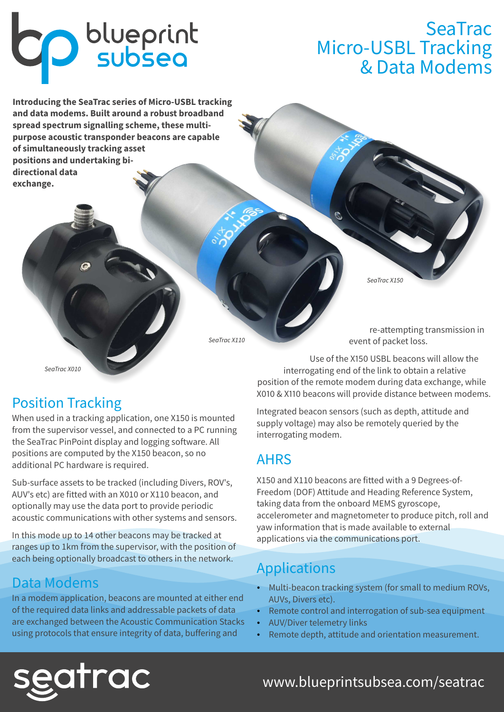# **CD** blueprint

## **SeaTrac** Micro-USBL Tracking & Data Modems

**Introducing the SeaTrac series of Micro-USBL tracking and data modems. Built around a robust broadband spread spectrum signalling scheme, these multipurpose acoustic transponder beacons are capable of simultaneously tracking asset positions and undertaking bidirectional data exchange.** 

SeaTrac X150

SeaTrac X110

SeaTrac X010

## Position Tracking

When used in a tracking application, one X150 is mounted from the supervisor vessel, and connected to a PC running the SeaTrac PinPoint display and logging software. All positions are computed by the X150 beacon, so no additional PC hardware is required.

Sub-surface assets to be tracked (including Divers, ROV's, AUV's etc) are fitted with an X010 or X110 beacon, and optionally may use the data port to provide periodic acoustic communications with other systems and sensors.

In this mode up to 14 other beacons may be tracked at ranges up to 1km from the supervisor, with the position of each being optionally broadcast to others in the network.

#### Data Modems

In a modem application, beacons are mounted at either end of the required data links and addressable packets of data are exchanged between the Acoustic Communication Stacks using protocols that ensure integrity of data, buffering and

re-attempting transmission in event of packet loss.

Use of the X150 USBL beacons will allow the interrogating end of the link to obtain a relative position of the remote modem during data exchange, while X010 & X110 beacons will provide distance between modems.

Integrated beacon sensors (such as depth, attitude and supply voltage) may also be remotely queried by the interrogating modem.

#### AHRS

X150 and X110 beacons are fitted with a 9 Degrees-of-Freedom (DOF) Attitude and Heading Reference System, taking data from the onboard MEMS gyroscope, accelerometer and magnetometer to produce pitch, roll and yaw information that is made available to external applications via the communications port.

## Applications

- Multi-beacon tracking system (for small to medium ROVs, AUVs, Divers etc).
- Remote control and interrogation of sub-sea equipment
- AUV/Diver telemetry links
- Remote depth, attitude and orientation measurement.



#### www.blueprintsubsea.com/seatrac